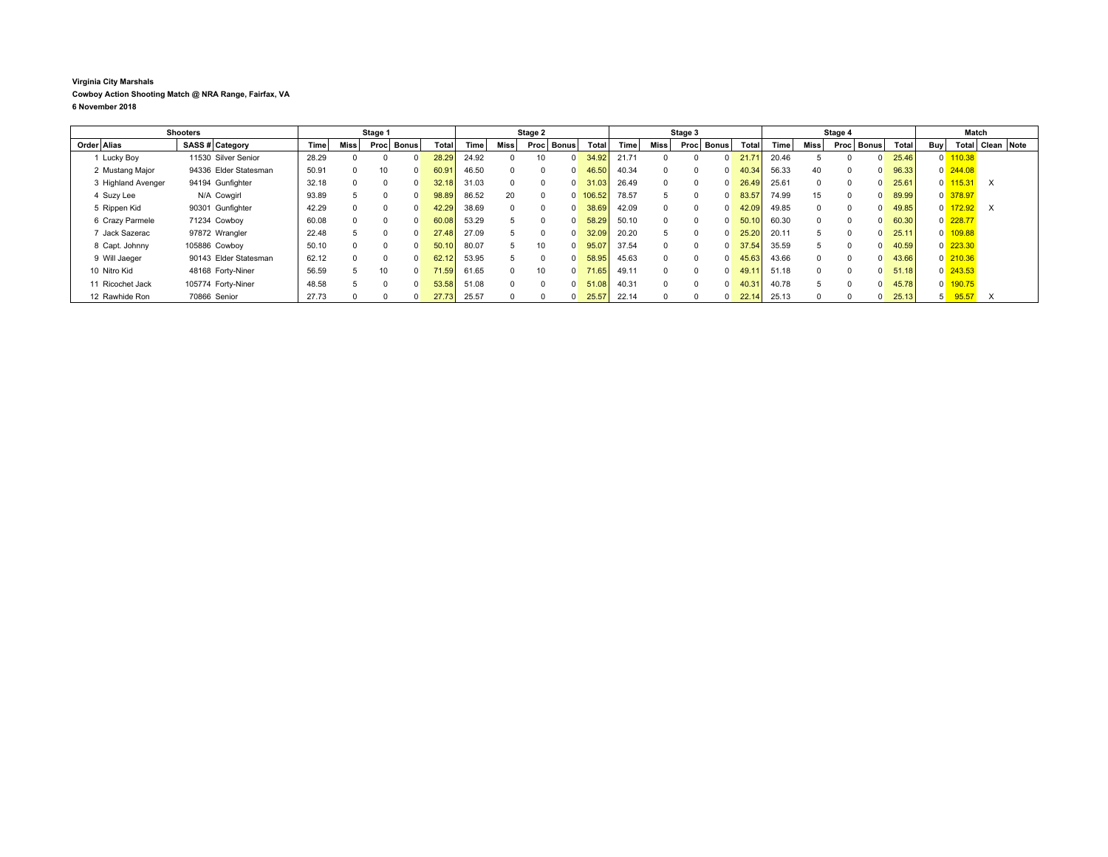## **Virginia City Marshals Cowboy Action Shooting Match @ NRA Range, Fairfax, VA 6 November 2018**

|                    | <b>Shooters</b>       |       |             | Stage 1              |       |       |                   | Stage 2  |              |        |       |          | Stage 3              |                |       |              | Stage 4 |              |       |              | Match                |                  |  |
|--------------------|-----------------------|-------|-------------|----------------------|-------|-------|-------------------|----------|--------------|--------|-------|----------|----------------------|----------------|-------|--------------|---------|--------------|-------|--------------|----------------------|------------------|--|
| Order Alias        | SASS # Category       | Time  | <b>Miss</b> | <b>Bonus</b><br>Proc | Total | Time  | Miss <sup> </sup> | Proc     | <b>Bonus</b> | Total  | Time  | Miss     | <b>Bonus</b><br>Proc | Total          | Time  | Miss         | Proc    | <b>Bonus</b> | Total | Buv          |                      | Total Clean Note |  |
| 1 Lucky Boy        | 11530 Silver Senior   | 28.29 | 0           |                      | 28.29 | 24.92 |                   |          |              | 34.92  | 21.71 |          |                      | 21.7'          | 20.46 |              |         |              | 25.46 | 0            | 110.38               |                  |  |
| 2 Mustang Major    | 94336 Elder Statesman | 50.91 | $^{\circ}$  |                      | 60.91 | 46.50 | $\Omega$          |          |              | 46.50  | 40.34 |          | $\Omega$             | 40.34          | 56.33 | 40           |         |              | 96.33 |              | $0$ 244.08           |                  |  |
| 3 Highland Avenger | 94194 Gunfighter      | 32.18 | $\Omega$    |                      | 32.18 | 31.03 | $\Omega$          |          |              | 31.03  | 26.49 | $\Omega$ | $\Omega$             | 26.49          | 25.61 | $\Omega$     |         |              | 25.61 | $\mathbf{0}$ | 115.31               | $\times$         |  |
| 4 Suzy Lee         | N/A Cowgirl           | 93.89 |             |                      | 98.89 | 86.52 | 20                |          |              | 106.52 | 78.57 | $5 -$    | $\Omega$             | 83.57          | 74.99 | 15           |         |              | 89.99 |              | $0$ 378.97           |                  |  |
| 5 Rippen Kid       | 90301 Gunfighter      | 42.29 | n.          |                      | 42.29 | 38.69 | $\Omega$          |          |              | 38.69  | 42.09 | $\Omega$ |                      | 42.09          | 49.85 | $\Omega$     |         |              | 49.85 | $\mathbf{0}$ | 172.92               | $\times$         |  |
| 6 Crazy Parmele    | 71234 Cowboy          | 60.08 | $\Omega$    |                      | 60.08 | 53.29 |                   |          |              | 58.29  | 50.10 | $\Omega$ | $\Omega$             | 50.10          | 60.30 | $\Omega$     |         |              | 60.30 |              | $0$ 228.77           |                  |  |
| Jack Sazerac       | 97872 Wrangler        | 22.48 |             |                      | 27.48 | 27.09 |                   |          |              | 32.09  | 20.20 | $5 -$    | $\Omega$             | 25.20          | 20.11 |              |         |              | 25.11 | $\mathbf{0}$ | 109.88               |                  |  |
| 8 Capt. Johnny     | 105886 Cowboy         | 50.10 | n.          |                      | 50.10 | 80.07 | $\mathcal{D}$     | 10       |              | 95.07  | 37.54 | $\Omega$ | $\Omega$             | 37.54          | 35.59 |              |         |              | 40.59 |              | $0\overline{223.30}$ |                  |  |
| 9 Will Jaeger      | 90143 Elder Statesman | 62.12 | $\Omega$    |                      | 62.12 | 53.95 |                   | $\Omega$ |              | 58.95  | 45.63 |          |                      | 45.63          | 43.66 | $\Omega$     |         |              | 43.66 |              | $0$ 210.36           |                  |  |
| 10 Nitro Kid       | 48168 Forty-Niner     | 56.59 | $5 -$       |                      | 71.59 | 61.65 | $\Omega$          | 10       |              | 71.65  | 49.11 | $\cap$   | $\Omega$             | 49.1           | 51.18 | <sup>n</sup> |         |              | 51.18 |              | $0\overline{243.53}$ |                  |  |
| 11 Ricochet Jack   | 105774 Forty-Niner    | 48.58 |             |                      | 53.58 | 51.08 | $\Omega$          |          |              | 51.08  | 40.31 | $\Omega$ | $\Omega$             | $40.3^{\circ}$ | 40.78 |              |         |              | 45.78 | $\mathbf{0}$ | 190.75               |                  |  |
| 12 Rawhide Ron     | 70866 Senior          | 27.73 |             |                      | 27.73 | 25.57 |                   |          |              | 25.57  | 22.14 |          |                      | 22.14          | 25.13 |              |         |              | 25.13 |              | 95.57                | X                |  |